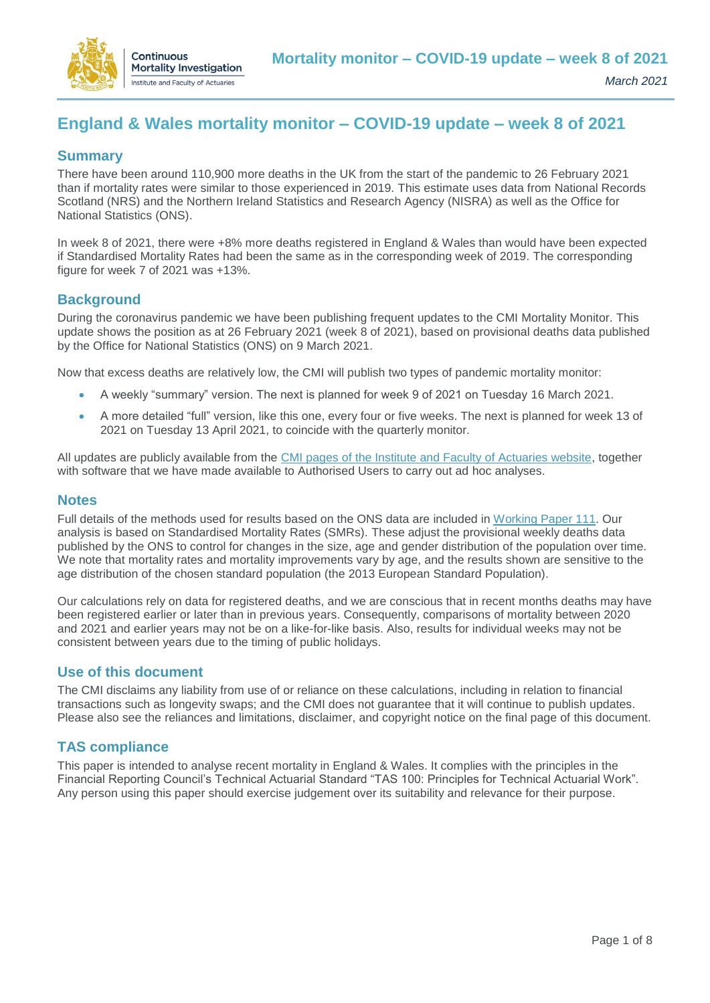

# **England & Wales mortality monitor – COVID-19 update – week 8 of 2021**

# **Summary**

There have been around 110,900 more deaths in the UK from the start of the pandemic to 26 February 2021 than if mortality rates were similar to those experienced in 2019. This estimate uses data from National Records Scotland (NRS) and the Northern Ireland Statistics and Research Agency (NISRA) as well as the Office for National Statistics (ONS).

In week 8 of 2021, there were +8% more deaths registered in England & Wales than would have been expected if Standardised Mortality Rates had been the same as in the corresponding week of 2019. The corresponding figure for week 7 of 2021 was +13%.

# **Background**

During the coronavirus pandemic we have been publishing frequent updates to the CMI Mortality Monitor. This update shows the position as at 26 February 2021 (week 8 of 2021), based on provisional deaths data published by the Office for National Statistics (ONS) on 9 March 2021.

Now that excess deaths are relatively low, the CMI will publish two types of pandemic mortality monitor:

- A weekly "summary" version. The next is planned for week 9 of 2021 on Tuesday 16 March 2021.
- A more detailed "full" version, like this one, every four or five weeks. The next is planned for week 13 of 2021 on Tuesday 13 April 2021, to coincide with the quarterly monitor.

All updates are publicly available from the [CMI pages of the Institute and Faculty of Actuaries website,](https://www.actuaries.org.uk/learn-and-develop/continuous-mortality-investigation/other-cmi-outputs/mortality-monitor) together with software that we have made available to Authorised Users to carry out ad hoc analyses.

#### **Notes**

Full details of the methods used for results based on the ONS data are included in [Working Paper 111.](https://www.actuaries.org.uk/learn-and-develop/continuous-mortality-investigation/cmi-working-papers/mortality-projections/cmi-working-paper-111) Our analysis is based on Standardised Mortality Rates (SMRs). These adjust the provisional weekly deaths data published by the ONS to control for changes in the size, age and gender distribution of the population over time. We note that mortality rates and mortality improvements vary by age, and the results shown are sensitive to the age distribution of the chosen standard population (the 2013 European Standard Population).

Our calculations rely on data for registered deaths, and we are conscious that in recent months deaths may have been registered earlier or later than in previous years. Consequently, comparisons of mortality between 2020 and 2021 and earlier years may not be on a like-for-like basis. Also, results for individual weeks may not be consistent between years due to the timing of public holidays.

## **Use of this document**

The CMI disclaims any liability from use of or reliance on these calculations, including in relation to financial transactions such as longevity swaps; and the CMI does not guarantee that it will continue to publish updates. Please also see the reliances and limitations, disclaimer, and copyright notice on the final page of this document.

## **TAS compliance**

This paper is intended to analyse recent mortality in England & Wales. It complies with the principles in the Financial Reporting Council's Technical Actuarial Standard "TAS 100: Principles for Technical Actuarial Work". Any person using this paper should exercise judgement over its suitability and relevance for their purpose.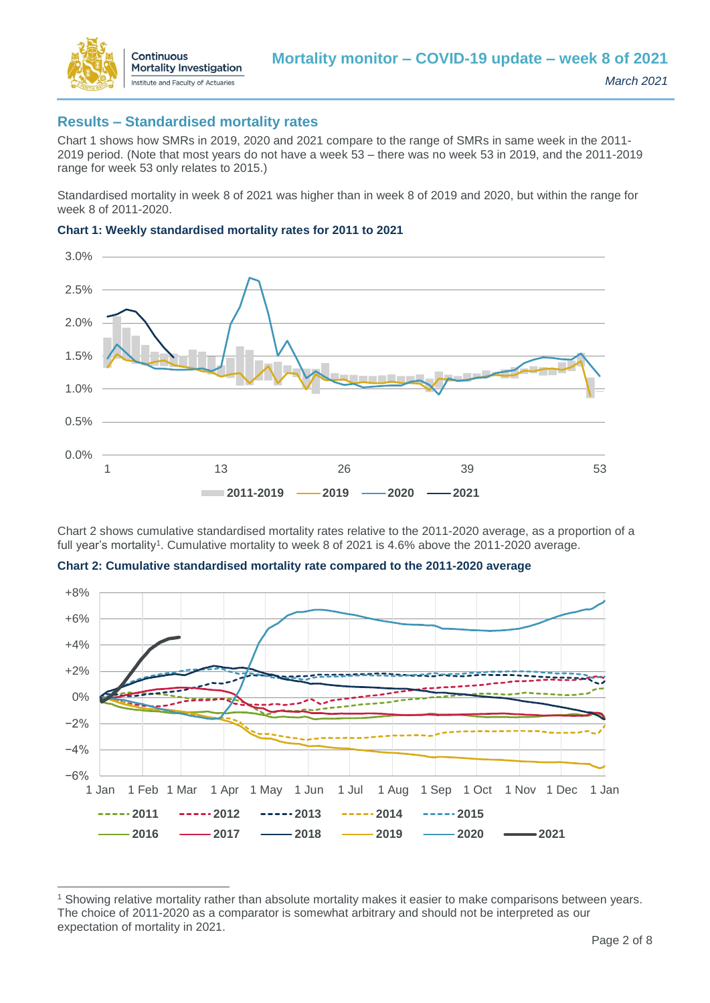

 $\overline{a}$ 

## **Results – Standardised mortality rates**

Chart 1 shows how SMRs in 2019, 2020 and 2021 compare to the range of SMRs in same week in the 2011- 2019 period. (Note that most years do not have a week 53 – there was no week 53 in 2019, and the 2011-2019 range for week 53 only relates to 2015.)

Standardised mortality in week 8 of 2021 was higher than in week 8 of 2019 and 2020, but within the range for week 8 of 2011-2020.





Chart 2 shows cumulative standardised mortality rates relative to the 2011-2020 average, as a proportion of a full year's mortality<sup>1</sup>. Cumulative mortality to week 8 of 2021 is 4.6% above the 2011-2020 average.



**Chart 2: Cumulative standardised mortality rate compared to the 2011-2020 average**

<sup>1</sup> Showing relative mortality rather than absolute mortality makes it easier to make comparisons between years. The choice of 2011-2020 as a comparator is somewhat arbitrary and should not be interpreted as our expectation of mortality in 2021.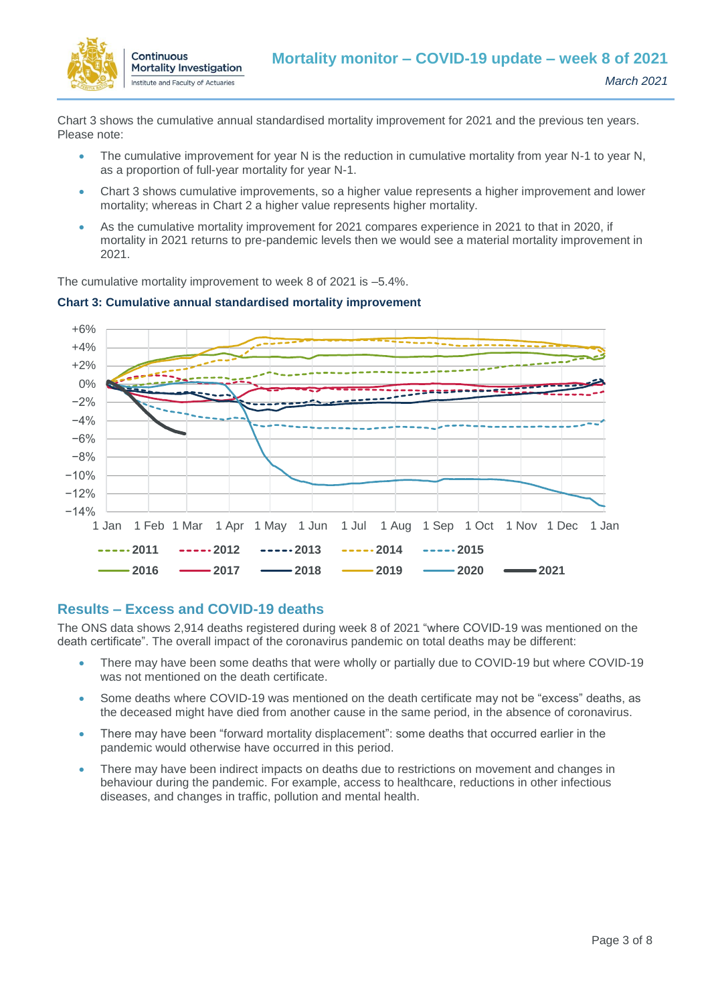

Chart 3 shows the cumulative annual standardised mortality improvement for 2021 and the previous ten years. Please note:

- The cumulative improvement for year N is the reduction in cumulative mortality from year N-1 to year N, as a proportion of full-year mortality for year N-1.
- Chart 3 shows cumulative improvements, so a higher value represents a higher improvement and lower mortality; whereas in Chart 2 a higher value represents higher mortality.
- As the cumulative mortality improvement for 2021 compares experience in 2021 to that in 2020, if mortality in 2021 returns to pre-pandemic levels then we would see a material mortality improvement in 2021.

The cumulative mortality improvement to week 8 of 2021 is –5.4%.



#### **Chart 3: Cumulative annual standardised mortality improvement**

## **Results – Excess and COVID-19 deaths**

The ONS data shows 2,914 deaths registered during week 8 of 2021 "where COVID-19 was mentioned on the death certificate". The overall impact of the coronavirus pandemic on total deaths may be different:

- There may have been some deaths that were wholly or partially due to COVID-19 but where COVID-19 was not mentioned on the death certificate.
- Some deaths where COVID-19 was mentioned on the death certificate may not be "excess" deaths, as the deceased might have died from another cause in the same period, in the absence of coronavirus.
- There may have been "forward mortality displacement": some deaths that occurred earlier in the pandemic would otherwise have occurred in this period.
- There may have been indirect impacts on deaths due to restrictions on movement and changes in behaviour during the pandemic. For example, access to healthcare, reductions in other infectious diseases, and changes in traffic, pollution and mental health.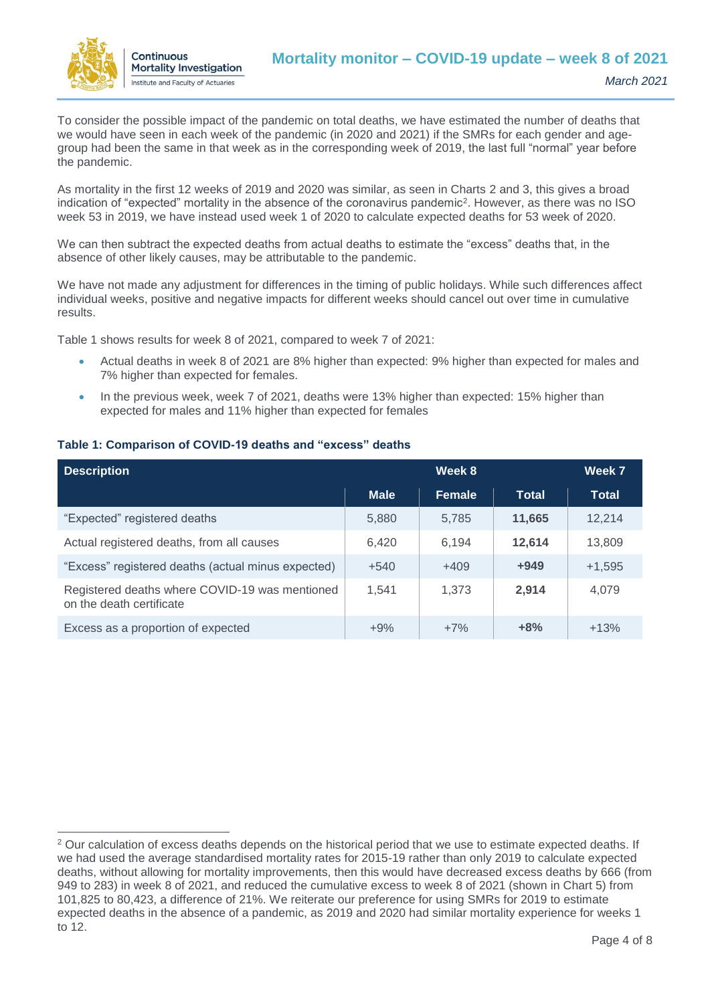

To consider the possible impact of the pandemic on total deaths, we have estimated the number of deaths that we would have seen in each week of the pandemic (in 2020 and 2021) if the SMRs for each gender and agegroup had been the same in that week as in the corresponding week of 2019, the last full "normal" year before the pandemic.

As mortality in the first 12 weeks of 2019 and 2020 was similar, as seen in Charts 2 and 3, this gives a broad indication of "expected" mortality in the absence of the coronavirus pandemic<sup>2</sup>. However, as there was no ISO week 53 in 2019, we have instead used week 1 of 2020 to calculate expected deaths for 53 week of 2020.

We can then subtract the expected deaths from actual deaths to estimate the "excess" deaths that, in the absence of other likely causes, may be attributable to the pandemic.

We have not made any adjustment for differences in the timing of public holidays. While such differences affect individual weeks, positive and negative impacts for different weeks should cancel out over time in cumulative results.

Table 1 shows results for week 8 of 2021, compared to week 7 of 2021:

- Actual deaths in week 8 of 2021 are 8% higher than expected: 9% higher than expected for males and 7% higher than expected for females.
- In the previous week, week 7 of 2021, deaths were 13% higher than expected: 15% higher than expected for males and 11% higher than expected for females

#### **Table 1: Comparison of COVID-19 deaths and "excess" deaths**

| <b>Description</b>                                                         | Week 8      |               |              | Week 7       |
|----------------------------------------------------------------------------|-------------|---------------|--------------|--------------|
|                                                                            | <b>Male</b> | <b>Female</b> | <b>Total</b> | <b>Total</b> |
| "Expected" registered deaths                                               | 5,880       | 5,785         | 11,665       | 12,214       |
| Actual registered deaths, from all causes                                  | 6.420       | 6.194         | 12,614       | 13,809       |
| "Excess" registered deaths (actual minus expected)                         | $+540$      | $+409$        | $+949$       | $+1,595$     |
| Registered deaths where COVID-19 was mentioned<br>on the death certificate | 1,541       | 1.373         | 2,914        | 4,079        |
| Excess as a proportion of expected                                         | $+9%$       | $+7%$         | $+8%$        | $+13%$       |

 $\overline{a}$ <sup>2</sup> Our calculation of excess deaths depends on the historical period that we use to estimate expected deaths. If we had used the average standardised mortality rates for 2015-19 rather than only 2019 to calculate expected deaths, without allowing for mortality improvements, then this would have decreased excess deaths by 666 (from 949 to 283) in week 8 of 2021, and reduced the cumulative excess to week 8 of 2021 (shown in Chart 5) from 101,825 to 80,423, a difference of 21%. We reiterate our preference for using SMRs for 2019 to estimate expected deaths in the absence of a pandemic, as 2019 and 2020 had similar mortality experience for weeks 1 to 12.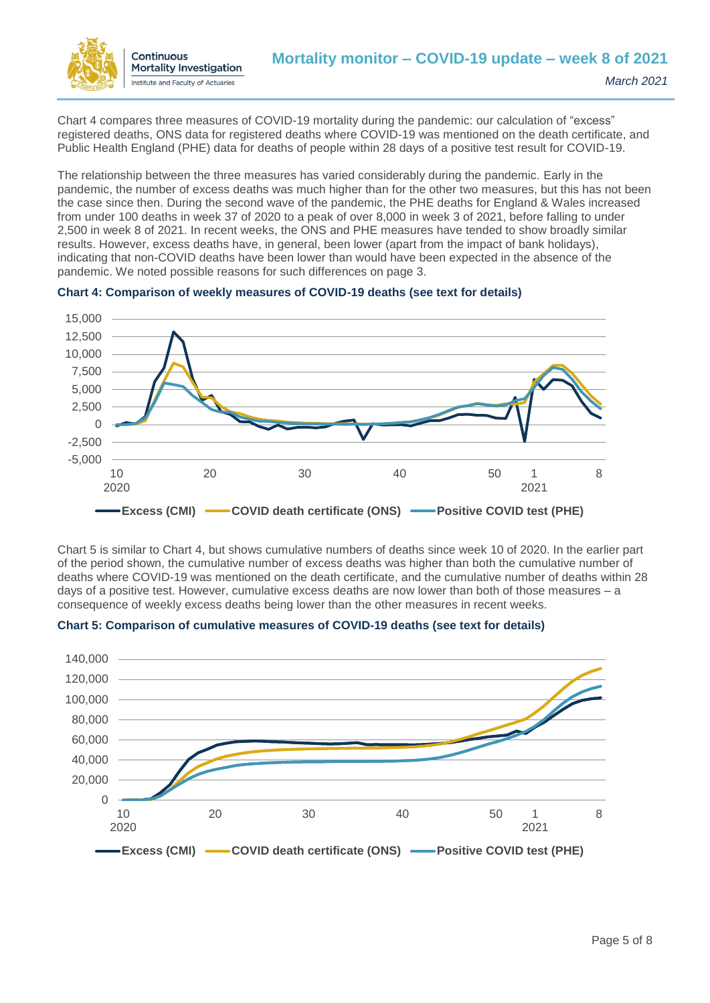

Chart 4 compares three measures of COVID-19 mortality during the pandemic: our calculation of "excess" registered deaths, ONS data for registered deaths where COVID-19 was mentioned on the death certificate, and Public Health England (PHE) data for deaths of people within 28 days of a positive test result for COVID-19.

The relationship between the three measures has varied considerably during the pandemic. Early in the pandemic, the number of excess deaths was much higher than for the other two measures, but this has not been the case since then. During the second wave of the pandemic, the PHE deaths for England & Wales increased from under 100 deaths in week 37 of 2020 to a peak of over 8,000 in week 3 of 2021, before falling to under 2,500 in week 8 of 2021. In recent weeks, the ONS and PHE measures have tended to show broadly similar results. However, excess deaths have, in general, been lower (apart from the impact of bank holidays), indicating that non-COVID deaths have been lower than would have been expected in the absence of the pandemic. We noted possible reasons for such differences on page 3.



#### **Chart 4: Comparison of weekly measures of COVID-19 deaths (see text for details)**

Chart 5 is similar to Chart 4, but shows cumulative numbers of deaths since week 10 of 2020. In the earlier part of the period shown, the cumulative number of excess deaths was higher than both the cumulative number of deaths where COVID-19 was mentioned on the death certificate, and the cumulative number of deaths within 28 days of a positive test. However, cumulative excess deaths are now lower than both of those measures – a consequence of weekly excess deaths being lower than the other measures in recent weeks.



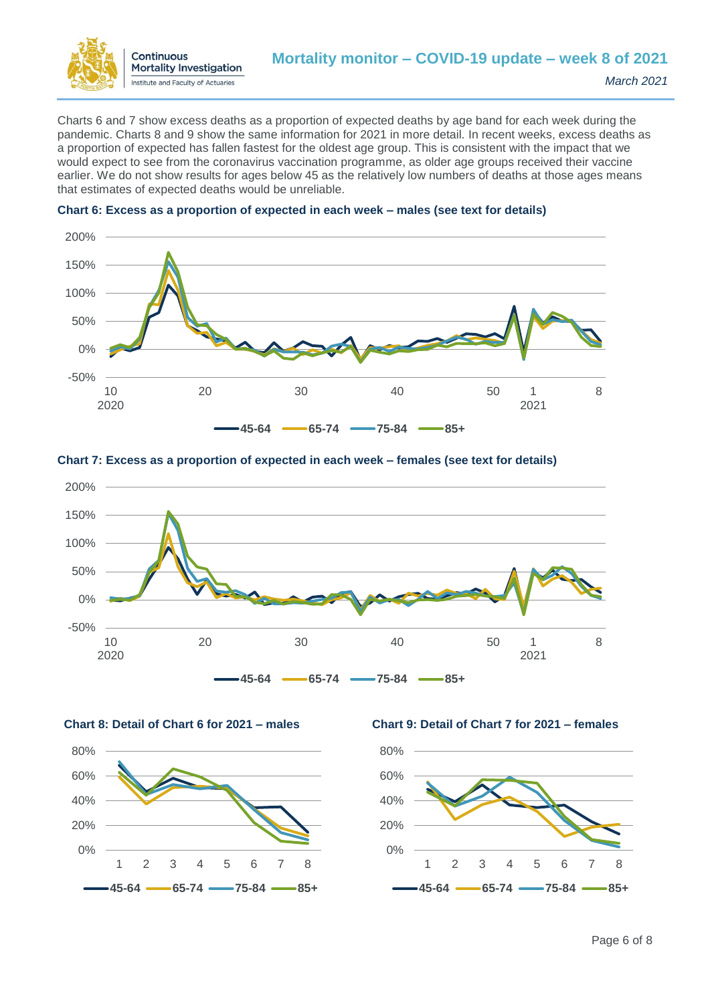

Charts 6 and 7 show excess deaths as a proportion of expected deaths by age band for each week during the pandemic. Charts 8 and 9 show the same information for 2021 in more detail. In recent weeks, excess deaths as a proportion of expected has fallen fastest for the oldest age group. This is consistent with the impact that we would expect to see from the coronavirus vaccination programme, as older age groups received their vaccine earlier. We do not show results for ages below 45 as the relatively low numbers of deaths at those ages means that estimates of expected deaths would be unreliable.







**Chart 7: Excess as a proportion of expected in each week – females (see text for details)**





**Chart 8: Detail of Chart 6 for 2021 – males Chart 9: Detail of Chart 7 for 2021 – females** 

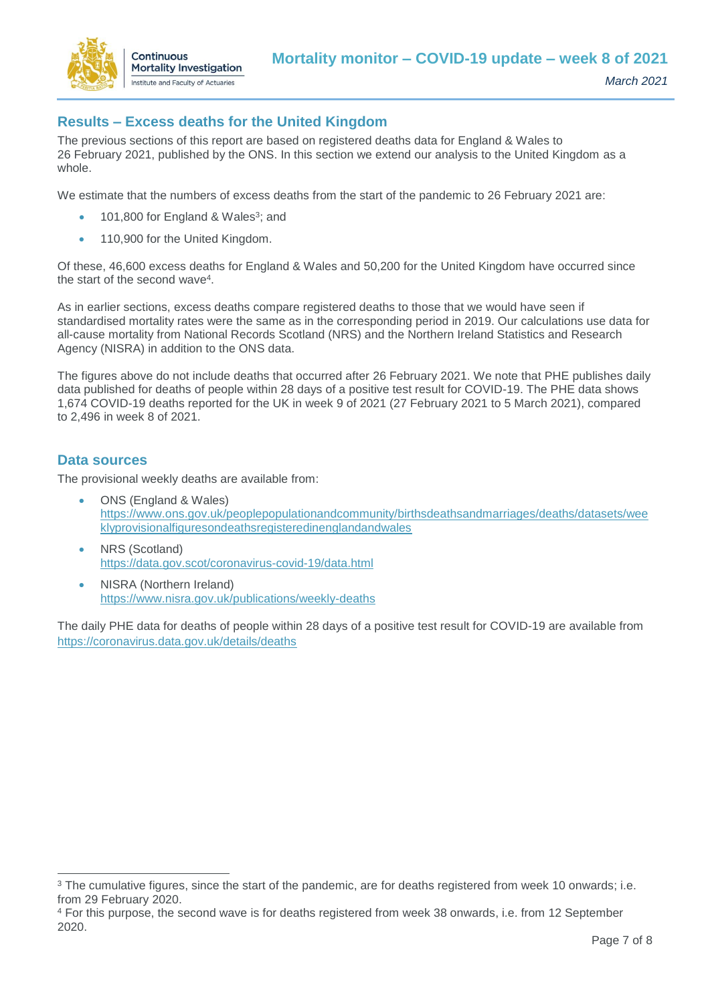

# **Results – Excess deaths for the United Kingdom**

The previous sections of this report are based on registered deaths data for England & Wales to 26 February 2021, published by the ONS. In this section we extend our analysis to the United Kingdom as a whole.

We estimate that the numbers of excess deaths from the start of the pandemic to 26 February 2021 are:

- 101,800 for England & Wales<sup>3</sup>; and
- 110,900 for the United Kingdom.

Of these, 46,600 excess deaths for England & Wales and 50,200 for the United Kingdom have occurred since the start of the second wave<sup>4</sup>.

As in earlier sections, excess deaths compare registered deaths to those that we would have seen if standardised mortality rates were the same as in the corresponding period in 2019. Our calculations use data for all-cause mortality from National Records Scotland (NRS) and the Northern Ireland Statistics and Research Agency (NISRA) in addition to the ONS data.

The figures above do not include deaths that occurred after 26 February 2021. We note that PHE publishes daily data published for deaths of people within 28 days of a positive test result for COVID-19. The PHE data shows 1,674 COVID-19 deaths reported for the UK in week 9 of 2021 (27 February 2021 to 5 March 2021), compared to 2,496 in week 8 of 2021.

### **Data sources**

 $\overline{a}$ 

The provisional weekly deaths are available from:

- ONS (England & Wales) [https://www.ons.gov.uk/peoplepopulationandcommunity/birthsdeathsandmarriages/deaths/datasets/wee](https://www.ons.gov.uk/peoplepopulationandcommunity/birthsdeathsandmarriages/deaths/datasets/weeklyprovisionalfiguresondeathsregisteredinenglandandwales) [klyprovisionalfiguresondeathsregisteredinenglandandwales](https://www.ons.gov.uk/peoplepopulationandcommunity/birthsdeathsandmarriages/deaths/datasets/weeklyprovisionalfiguresondeathsregisteredinenglandandwales)
- NRS (Scotland) <https://data.gov.scot/coronavirus-covid-19/data.html>
- NISRA (Northern Ireland) <https://www.nisra.gov.uk/publications/weekly-deaths>

The daily PHE data for deaths of people within 28 days of a positive test result for COVID-19 are available from <https://coronavirus.data.gov.uk/details/deaths>

<sup>&</sup>lt;sup>3</sup> The cumulative figures, since the start of the pandemic, are for deaths registered from week 10 onwards; i.e. from 29 February 2020.

<sup>4</sup> For this purpose, the second wave is for deaths registered from week 38 onwards, i.e. from 12 September 2020.